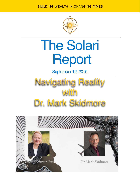BUILDING WEALTH IN CHANGING TIMES



# The Solari Report

September 12, 2019



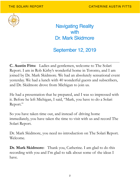

Navigating Reality with Dr. Mark Skidmore

# September 12, 2019

**C. Austin Fitts:** Ladies and gentlemen, welcome to The Solari Report. I am in Rob Kirby's wonderful home in Toronto, and I am joined by Dr. Mark Skidmore. We had an absolutely sensational event yesterday. We had a lunch with 40 wonderful guests and subscribers, and Dr. Skidmore drove from Michigan to join us.

He had a presentation that he prepared, and I was so impressed with it. Before he left Michigan, I said, "Mark, you have to do a Solari Report."

So you have taken time out, and instead of driving home immediately, you have taken the time to visit with us and record The Solari Report.

Dr. Mark Skidmore, you need no introduction on The Solari Report. Welcome.

**Dr. Mark Skidmore:** Thank you, Catherine. I am glad to do this recording with you and I'm glad to talk about some of the ideas I have.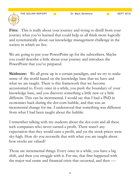**Fitts:** This is really about your journey and trying to distill from your journey what you've learned that could help us all think more logically and systematically about our knowledge management challenge in the society in which we live.

We are going to put your PowerPoint up for the subscribers. Maybe you could describe a little about your journey and introduce the PowerPoint that you've prepared.

**Skidmore:** We all grow up in a certain paradigm, and we try to make sense of the world based on the knowledge base that we have and what we are taught. There is this framework that we become accustomed to. Every once in a while, you push the boundary of your knowledge base, and you discover something a little new or a little different. This can be incremental. I would say that I had a PhD in economics back during the dot-com bubble, and that was an incremental change for me. I understood that something was different from what I had been taught about the bubble.

I remember talking with my students about the dot-com and all these tech companies who never earned a profit. There wasn't any expectation that they would earn a profit, and yet the stock prices were sky-high. How do you reconcile that with what you are taught about how stocks are valued?

Those are incremental things. Every once in a while, you have a big shift, and then you struggle with it. For me, that first happened with the major real estate and financial crisis that occurred, and then —-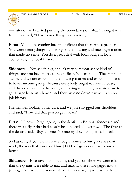—- later on as I started pushing the boundaries of what I thought was true, I realized, "I have some things really wrong."

Fitts: You knew coming into the bailouts that there was a problem. You were seeing things happening in the housing and mortgage market that made no sense. You do a great deal with local budgets, local economics, and local finance.

**Skidmore:** You see things, and it's very common-sense kind of things, and you have to try to reconcile it. You are told, "The system is stable, and we are expanding the housing market and expanding loans to lower income groups because everybody ought to have a house," and then you run into the reality of having somebody you are close to get a large loan on a house, and they have no down payment and no job history.

I remember looking at my wife, and we just shrugged our shoulders and said, "How did that person get a loan?"

Fitts: I'll never forget going to the dentist in Bolivar, Tennessee and there was a flyer that had clearly been placed all over town. The flyer at the dentist said, "Buy a home. No money down and get cash back."

So basically, if you didn't have enough money to buy groceries that week, the way that you could buy \$1,000 of groceries was to buy a house.

**Skidmore:** Incentive incompatible, and yet somehow we were told that the quants were able to mix and max all these mortgages into a package that made the system stable. Of course, it just was not true.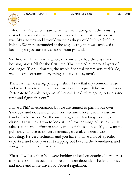**Fitts:** In 1998 when I saw what they were doing with the housing market, I assumed that the bubble would burst in, at most, a year or two. My attorney and I would watch as they would bubble, bubble, bubble. We were astounded at the engineering that was achieved to keep it going because it was so without ground.

**Skidmore:** It really was. Then, of course, we had the crisis, and housing prices fell for the first time. That created numerous layers of challenges. Then ultimately, the whole financial system was at risk. So, we did some extraordinary things to 'save the system'.

That, for me, was a big paradigm shift. I saw that my common sense and what I was told in the major media outlets just didn't match. I was fortunate to be able to go on sabbatical. I said, "I'm going to take some time and figure this out."

I have a PhD in economics, but we are trained to play in our own 'sandbox' and do research on a very technical level within a narrow band of what we do. So, the nice thing about teaching a variety of classes is that it asks you to look at the broader range of issues, but it takes a concerted effort to step outside of the sandbox. If you want to publish, you have to do very technical, careful, empirical work, or modeling. It's very technical, and you have to have a lot of specific expertise, and then you start stepping out beyond the boundaries, and you get a little uncomfortable.

Fitts: I will say this: You were looking at local economies. In America as local economies become more and more dependent Federal money and more and more driven by Federal regulation, ——-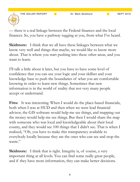— there is a real linkage between the Federal finances and the local finances. So, you have a pathway tugging at you, from what I've heard.

**Skidmore:** I think that we all have these linkages between what we know very well and things that maybe, we would like to know more about. That is where you start pushing into these other areas, and you want to learn.

I'll talk a little about it later, but you have to have some level of confidence that you can use your logic and your skillset and your knowledge base to push the boundaries of what you are comfortable knowing in order to learn new things. Sometimes that new information is in the world of reality that not very many people accept or understand.

Fitts: It was interesting. When I would do the place-based financials, both when I was at HUD and then when we were lead financial advisor, the GIS software would help me see things, and mapping out the money would help me see things. But then I would share the map with someone who was local and knowledgeable about their local county, and they would see 100 things that I didn't see. That is when I realized, "Oh, you have to make this transparency available to everybody locally because they are the ones who can see and stop the waste."

**Skidmore:** I think that is right. Integrity is, of course, a very important thing at all levels. You can find some really great people, and if they have more information, they can make better decisions.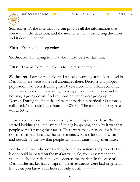THE SOLARI REPORT **Dr. Mark Skidmore** SEPT 2019

Sometimes it's the case that you can provide all the information that you want in the decisions, and the incentives are in the wrong direction and it doesn't happen.

Fitts: Exactly, and keep going.

**Skidmore:** I'm trying to think about how best to start this.

Fitts: Take us from the bailouts to the missing money.

**Skidmore:** During the bailouts, I was also working at the local level in Detroit. There were some real anomalies there. Detroit's city proper population had been declining for 50 years. So, in an urban economic framework, you can't have rising housing prices when the demand for housing is going down. And yet housing prices were going up in Detroit. During the financial crisis, that market in particular just totally collapsed. You could buy a house for \$5,000. The tax delinquency rate was at  $50\%$ .

I was asked to do some work looking at the property tax base. We started looking at all the layers of things happening and why it was that people weren't paying their taxes. There were many reasons for it, but one of them was because the assessments were so 'far out of whack' and outside of the law that people just didn't want to pay their taxes.

For those of you who don't know, the US tax system, the property tax base should be based on the market value. So, your assessment and valuation should reflect, to some degree, the market. In the case of Detroit, the market had collapsed, the assessments were bad in general, but when you know your house is only worth ———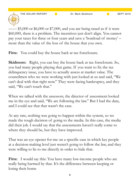THE SOLARI REPORT **Dr. Mark Skidmore COLARI REPORT** 

 $-\$5,000$  or \$6,000 or \$7,000, and you are being taxed as if it were \$60,000, there is a problem. The incentives just don't align. You cannot pay your taxes for three or four years and save a 'boatload of money' – more than the value of the loss of the house that you own.

Fitts: You could buy the house back at tax foreclosure.

**Skidmore:** Right, you can buy the house back at tax foreclosure. So, you had many people playing that game. If you want to fix the tax delinquency issue, you have to actually assess at market value. The councilmen who we were working with just looked at us and said, "We can't deal with that right now." They were facing bankruptcy, and they said, "We can't touch that."

When we talked with the assessors, the director of assessment looked me in the eye and said, "We are following the law." But I had the data, and I could see that that wasn't the case.

At any rate, nothing was going to happen within the system, so we made the tough decision of going to the media. In this case, the media did their job. I would say that the assessments haven't really come to where they should be, but they have improved.

That was an eye opener for me on a specific case in which key people at a decision-making level just weren't going to follow the law, and they were willing to lie to me directly in order to hide that.

Fitts: I would say this: You have many low-income people who are really being harmed by that. It's the difference between keeping or losing their home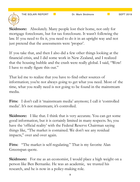THE SOLARI REPORT **The SOLARY REPORT Dr. Mark Skidmore** SEPT 2019



**Skidmore:** Absolutely. Many people lost their home, not only for mortgage foreclosure, but for tax foreclosure. It wasn't following the law. If you need to fix it, you need to do it in an upright way and not just pretend that the assessments were 'proper'.

If you take that, and then I also did a few other things looking at the financial crisis, and I did some work in New Zealand, and I realized that the housing bubble and the crash were really global. I said, "Wow! I have to really figure this out."

That led me to realize that you have to find other sources of information; you're not always going to get what you need. Most of the time, what you really need is not going to be found in the mainstream media.

Fitts: I don't call it 'mainstream media' anymore; I call it 'controlled media'. It's not mainstream; it's controlled.

**Skidmore:** I like that. I think that is very accurate. You can get some good information, but it is certainly limited in many respects. So, you have the 'official reality' with the Federal Reserve Chairman saying things like, "The market is contained. We don't see any residual impacts," over and over again.

Fitts: "The market is self-regulating." That is my favorite Alan Greenspan quote.

**Skidmore:** For me as an economist, I would place a high weight on a person like Ben Bernanke. He was an academic, we trusted his research, and he is now in a policy-making role.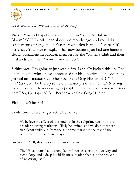

He is telling us, "We are going to be okay."

**Fitts:** You and I spoke to the Republican Women's Club in Bloomfield Hills, Michigan about two months ago, and you did a comparison of Greg Hunter's career with Ben Bernanke's career. It's hysterical. You have to explain that now because you had one hundred clearly prominent Republican members of the Women's Club and their husbands with their 'mouths on the floor'.

**Skidmore:** I'm going to just read a few. I actually looked this up. One of the people who I have appreciated for his integrity and his desire to get real information out to help people is Greg Hunter of *USA Watchdog*. So, I looked up some old transcripts of him on CNN trying to help people. He was saying to people, "Hey, there are some real risks here." So, I juxtaposed Ben Bernanke against Greg Hunter.

**Fitts:** Let's hear it!

**Skidmore:** Here we go. 2007, Bernanke:

We believe the effect of the troubles in the subprime sector on the broader housing market will likely be limited, and we do not expect significant spillovers from the subprime market to the rest of the economy or to the financial system.

January 18, 2008, about six or seven months later:

The US economy has a strong labor force, excellent productivity and technology, and a deep liquid financial market that is in the process of repairing itself.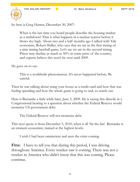THE SOLARI REPORT **Dr. Mark Skidmore** SEPT 2019



So here is Greg Hunter, December 30, 2007:

When is the last time you heard people describe the housing market as a meltdown? That is what happens in a nuclear reactor before it blows sky-high. About two and a half months ago I talked with Yale economist, Robert Shiller, who says that we are in the first inning of a nine inning baseball game. Let's say we are in the second inning. Prices may decline as much as 50% in some parts of the country, and experts believe this won't be over until 2009.

He goes on to say:

This is a worldwide phenomenon. It's never happened before. Be careful.

Then he was talking about using your house as a credit card and how that was fueling spending and how the whole game is going to end, so watch out.

Here is Bernanke a little while later, June 3, 2009. He is saying this directly in a Congressional hearing to a question about whether the Federal Reserve would monetize US government debt:

The Federal Reserve will not monetize debt.

This next quote is from December 5, 2010, when it all 'hit the fan'. Bernanke is an eminent economist, trained at the highest levels:

I wish I had been omniscient and seen the crisis coming.

Fitts: I have to tell you that during this period, I was driving throughout America. Every trucker saw it coming. There was not a trucker in America who didn't know that this was coming. Please continue.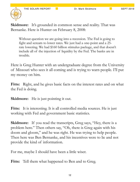

**Skidmore:** It's grounded in common sense and reality. That was Bernanke. Here is Hunter on February 8, 2008:

Without question we are going into a recession. The Fed is going to fight and scream to lower rates. We just had a one-point and a 25 rate lowering. We had \$160 billion stimulus package, and that doesn't include all of the injection of liquidity by the Fed. The banks are in trouble.

Here is Greg Hunter with an undergraduate degree from the University of Missouri who sees it all coming and is trying to warn people. I'll put my money on him.

**Fitts:** Right, and he gives basic facts on the interest rates and on what the Fed is doing.

**Skidmore:** He is just pointing it out.

Fitts: It is interesting. It is all controlled media sources. He is just working with Fed and government basic statistics.

**Skidmore:** If you read the transcripts, Greg says, "Hey, there is a problem here." Then others say, "Oh, there is Greg again with his doom and gloom," and he was right. He was trying to help people. Then here was Ben Bernanke, and his incentives were to lie and not provide the kind of information.

For me, maybe I should have been a little wiser.

**Fitts:** Tell them what happened to Ben and to Greg.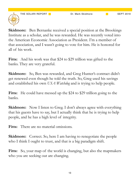

**Skidmore:** Ben Bernanke received a special position at the Brookings Institute as a scholar, and he was rewarded. He was recently voted into the American Economic Association as President. I'm a member of that association, and I wasn't going to vote for him. He is honored for all of his work.

**Fitts:** And his work was that \$24 to \$29 trillion was gifted to the banks. They are very grateful.

**Skidmore:** So, Ben was rewarded, and Greg Hunter's contract didn't get renewed even though he told the truth. So, Greg used his savings and established his own *USA Watchdog* and is trying to help people.

**Fitts:** He could have messed up the \$24 to \$29 trillion going to the banks.

**Skidmore:** Now I listen to Greg. I don't always agree with everything that his guests have to say, but I actually think that he is trying to help people, and he has a high level of integrity.

**Fitts:** There are no material omissions.

**Skidmore:** Correct. So, here I am having to renegotiate the people who I think I ought to trust, and that is a big paradigm shift.

Fitts: So, your map of the world is changing, but also the mapmakers who you are seeking out are changing.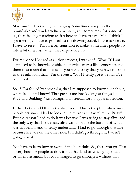

**Skidmore:** Everything is changing. Sometimes you push the boundaries and you learn incrementally, and sometimes, for some of us, there is a big paradigm shift where we have to say, "Man, I think I got it wrong. I have to go back to the drawing board. I have to relearn. I have to reset." That is a big transition to make. Sometimes people go into a bit of a crisis when they experience that.

For me, once I looked at all those pieces, I was as if, "Wow! If I am supposed to be knowledgeable in a particular area like economics and there is so much that I missed," you want to say that you have to come to the realization that, "I'm the Patsy. Wow! I really got it wrong. I've been fooled."

So, if I'm fooled by something that I'm supposed to know a lot about, what else don't I know? That pushes me into looking at things like 9/11 and Building 7 just collapsing in freefall for no apparent reason.

Fitts: Let me add this to the discussion. This is the place where most people get stuck. I had to look in the mirror and say, "I'm the Patsy." But the reason I had to do it was because I was trying to stay alive, and the only way that I could stay alive was to get to the bottom of what was happening and to really understand. I had to go through that line because life was on the other side. If I didn't go through it, I wasn't going to make it.

You have to learn how to swim if the boat sinks. So, there you go. That is very hard for people to do without that kind of emergency situation or urgent situation, but you managed to go through it without that.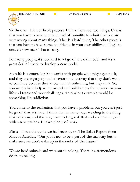THE SOLARI REPORT **Dr. Mark Skidmore** SEPT 2019



**Skidmore:** It's a difficult process. I think there are two things: One is that you have to have a certain level of humility to admit that you are very wrong about many things. That is a hard thing. The other piece is that you have to have some confidence in your own ability and logic to create a new map. That is scary.

For many people, it's too hard to let go of the old model, and it's a great deal of work to develop a new model.

My wife is a counselor. She works with people who might get stuck, and they are engaging in a behavior or an activity that they don't want to continue because they know that it's unhealthy, but they can't. So, you need a little help to transcend and build a new framework for your life and transcend your challenges. An obvious example would be something like addiction.

You come to the realization that you have a problem, but you can't just let go of that; it's hard. I think that in many ways we cling to the thing that we know, and it is very hard to let go of that and start over again with a new pattern. It takes plenty of work.

**Fitts:** I love the quote we had recently on The Solari Report from Marcus Aurelius, "Our job is not to be a part of the majority but to make sure we don't wake up in the ranks of the insane."

We are herd animals and we want to belong. There is a tremendous desire to belong.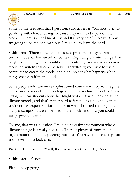THE SOLARI REPORT **Dr. Mark Skidmore** SEPT 2019

Some of the feedback that I get from subscribers is, "My kids want to go along with climate change because they want to be part of the crowd." There is a herd mentality, and it is very painful to say, "Okay, I am going to be the odd man out. I'm going to leave the herd."

**Skidmore:** There is tremendous social pressure to stay within a certain model or framework or context. Regarding climate change; I've taught computer general equilibrium monitoring, and it's an economic modeling system that can't be solved analytically; you have to use a computer to create the model and then look at what happens when things change within the model.

Some people who are more sophisticated than me will try to integrate the economic models with ecological models or climate models. I was trying to show students how that might work. I started looking at the climate models, and that's rather hard to jump into a new thing that you're not an expert in. But I'll tell you what: I started realizing how many assumptions are embedded in the model and how you could easily question them.

For me, that was a question. I'm in a university environment where climate change is a really big issue. There is plenty of movement and a large amount of money pushing into that. You have to take a step back and be willing to look at it.

Fitts: I love the line, "Well, the science is settled." No, it's not.

**Skidmore:** It's not.

**Fitts:** Keep going.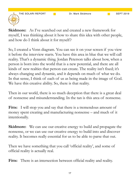THE SOLARI REPORT **Dr. Mark Skidmore SEPT 2019** SEPT 2019



**Skidmore:** As I've searched out and created a new framework for myself, I was thinking about it how to share this idea with other people, and how do I think about it for myself?

So, I created a Venn diagram. You can see it on your screen if you view it before the interview starts. You have this area in blue that we will call reality. That's a dynamic thing. Jordan Peterson talks about how, when a person is born into the world that is a new potential, and there are all kinds of new realties that person can create. The reality isn't fixed; it's always changing and dynamic, and it depends on much of what we do. In that sense, I think of each of us as being made in the image of God. We have this creative ability. So, there is that reality.

Then in our world, there is so much deception that there is a great deal of nonsense and misunderstanding. In the tan is this area of nonsense.

**Fitts:** I will stop you and say that there is a tremendous amount of money spent creating and manufacturing nonsense – and much of it intentionally.

**Skidmore:** We can use our creative energy to build and propagate the nonsense, or we can use our creative energy to build into and discover reality. It becomes really essential for us to be able to parse that out.

Then we have something that you call 'official reality', and some of official reality is actually real.

Fitts: There is an intersection between official reality and reality.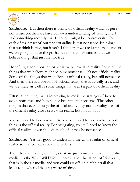THE SOLARI REPORT **Dr. Mark Skidmore SEPT 2019** 



**Skidmore:** But then there is plenty of official reality which is pure nonsense. So, then we have our own understanding of reality, and I said something recently that I thought might be controversial. For each of us, a part of our understanding is just nonsense. It's things that we think is true, but it isn't. I think that we are just human, and so we are going to have things that we don't understand in that we believe things that just are not true.

Hopefully, a good portion of what we believe is in reality. Some of the things that we believe might be pure nonsense – it's not official reality. Some of the things that we believe is official reality, but still nonsense. And then there is a portion of official reality that is actually true, and we are there, as well as some things that aren't a part of official reality.

Fitts: One thing that is interesting to me is the strategy of how to avoid nonsense, and how to not lose time to nonsense. The other thing is that even though the official reality may not be reality, part of the official reality cross-sects with reality, but not all of it.

You still need to know what it is. You still need to know what people think is the official reality. For navigating, you still need to know the official reality – even though much of it may be nonsense.

**Skidmore:** Yes. It's good to understand the whole realm of official reality so that you can avoid the pitfalls.

Then there are plenty of things that are just nonsense. Like in the altmedia, it's the Wild, Wild West. There is a lot that is not official reality that is in the alt-media, and you could go off on a rabbit trail that leads to nowhere. It's just a waste of time.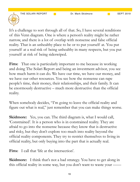

It's a challenge to sort through all of that. So, I have several renditions of this Venn diagram. One is where a person's reality might be rather narrow, and there is a lot of overlap with nonsense and false official reality. That is an unhealthy place to be or to put yourself at. You put yourself at a real risk of being unhealthy in many respects, but you put yourself at risk of being sideswiped.

Fitts: That one is particularly important to me because in working and doing The Solari Report and being an investment advisor, you see how much harm it can do. We have our time, we have our money, and we have our other resources. You see how the nonsense can rape people's time, their money, their relationships, and their family. It can be enormously destructive – much more destructive than the official reality.

When somebody decides, "I'm going to leave the official reality and figure out what is real," just remember that you can make things worse.

**Skidmore:** Yes, you can. The third diagram is, what I would call, 'Constrained'. It is a person who is in constrained reality. They are afraid to go into the nonsense because they know that is destructive and risky, but they don't explore too much into reality beyond the official reality components. They try to restrict themselves to living in official reality, but only buying into the part that is actually real.

Fitts: I call that 'life at the intersection'.

**Skidmore:** I think that's not a bad strategy. You have to get along in this official reality in some way, but you don't want to waste your ——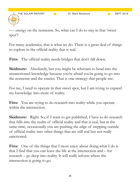—- energy on the nonsense. So, what can I do to stay in that 'sweet spot'?

For many academics, that is what we do. There is a great deal of things to explore in the official reality that is real.

Fitts: The official reality needs bridges that don't fall down.

**Skidmore:** Absolutely, but you might be reluctant to head into the unsanctioned knowledge because you're afraid you're going to go into the nonsense and the crazies. That is one strategy that people use.

For me, I need to operate in that sweet spot, but I am trying to expand my knowledge into more of reality.

Fitts: You are trying to do research into reality while you operate within the intersection.

**Skidmore:** Right. So, if I want to get published, I have to do research that falls into the realm of official reality and that is real, but at the same time, occasionally you are pushing the edge of stepping outside of official reality into other things that are still real but not really sanctioned.

Fitts: One of the things that I most enjoy about doing what I do is that I find that you can leave the life at the intersection and – for research – go deep into reality. It will really inform where the intersection is going to go.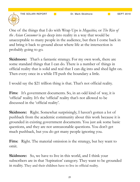

One of the things that I do with Wrap Ups is *Megacities,* or *The Rise of the Asian Consumer* is go deep into reality in a way that would be unacceptable to many people in the audience, but then I come back in and bring it back to ground about where life at the intersection is probably going to go.

**Skidmore:** That's a fantastic strategy. For my own work, there are some standard things that I can do. There is a number of things in official reality that is solid and real that I can dig into and shed light on. Then every once in a while I'll push the boundary a little.

I would say the \$21 trillion thing is that. That's not official reality.

**Fitts:** It's government documents. So, in an odd kind of way, it is 'official' reality. It's the 'official' reality that's not allowed to be discussed in the 'official reality'.

**Skidmore:** Right. Somewhat surprisingly, I haven't gotten a lot of pushback from the academic community about this work because it is grounded in existing government documents. You just ask some basic questions, and they are not unreasonable questions. You don't get much pushback, but you do get many people ignoring you.

**Fitts:** Right. The material omission is the strategy, but hey want to omit.

**Skidmore:** So, we have to live in this world, and I think your subscribers are in that 'Aspiration' category. They want to be grounded in reality. They and their children have to live in official reality.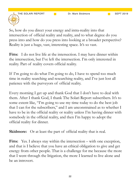

So, how do you direct your energy and intra-reality into that intersection of official reality and reality, and to what degree do you press into and how do you press into looking at a broader perspective? Reality is just a huge, vast, interesting space. It's so vast.

Fitts: I do not live life at the intersection. I may have dinner within the intersection, but I've left the intersection. I'm only interested in reality. Part of reality covers official reality.

If I'm going to do what I'm going to do, I have to spend too much time in reality searching and researching reality, and I've just lost all patience with the purveyors of official reality.

Every morning I get up and thank God that I don't have to deal with them. After I thank God, I thank The Solari Report subscribers. It's to some extent like, "I'm going to use my time today to do the best job that I can for the subscribers," and I am unconstrained as to whether I have to be in the official reality or reality unless I'm having dinner with somebody in the official reality, and then I'm happy to adopt the official reality for dinner.

**Skidmore:** Or at least the part of official reality that is real.

Fitts: Yes. I always stay within the intersection – with one exception, and that is I believe that you have an ethical obligation to give and get energy from other people. That is a challenge for me because the more that I went through the litigation, the more I learned to live alone and be an introvert.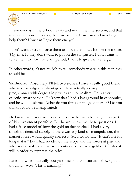

If someone is in the official reality and not in the intersection, and that is where they need to stay, then my issue is: How can my knowledge help them? How can I give them energy?

I don't want to try to force them or move them out. It's like the movie, *They Live.* If they don't want to put on the sunglasses, I don't want to force them to. For that brief period, I want to give them energy.

In other words, it's not my job to tell somebody where in this map they should be.

**Skidmore:** Absolutely. I'll tell two stories. I have a really good friend who is knowledgeable about gold. He is actually a computer programmer with degrees in physics and journalism. He is a very eclectic, smart person. He knew that I had a background in economics, and he would ask me, "What do you think of the gold market? Do you think it could be manipulated?"

He knew that it was manipulated because he had a lot of gold as part of his investment portfolio. But he would ask me these questions. I had a false model of how the gold market worked; I had a very simplistic demand-supply. If there was any kind of manipulation, the market forces would quickly correct it. So, I would say, "It can't last for long if it is," but I had no idea of the scope and the forces at play and what was at stake and that some entities could issue gold certificates at will in order to suppress the price.

Later on, when I actually bought some gold and started following it, I thought, "Wow! This is amazing!"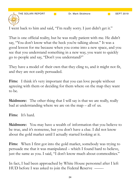THE SOLARI REPORT **Dr. Mark Skidmore CHIM** SEPT 2019

I went back to him and said, "I'm really sorry. I just didn't get it."

That is one official reality, but he was really patient with me. He didn't say, "You don't know what the heck you're talking about." It was a good lesson for me because when you come into a new space, and you see that you understand something in a new way, you want to quickly go to people and say, "Don't you understand?"

They have a model of their own that they cling to, and it might not fit, and they are not easily persuaded.

**Fitts:** I think it's very important that you can love people without agreeing with them or deciding for them where on the map they want to be.

**Skidmore:** The other thing that I will say is that we are really, really bad at understanding where we are on the map – all of us.

**Fitts:** It's hard.

**Skidmore:** You may have a wealth of information that you believe to be true, and it's nonsense, but you don't have a clue. I did not know about the gold market until I actually started looking at it.

**Fitts:** When I first got into the gold market, somebody was trying to persuade me that it was manipulated – which I found hard to believe, just the same as you. I said, "I don't know much about commodities."

In fact, I had been approached by White House personnel after I left HUD before I was asked to join the Federal Reserve —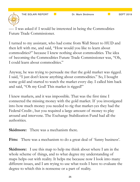THE SOLARI REPORT **DR. Mark Skidmore** SEPT 2019

—- I was asked if I would be interested in being the Commodities Future Trade Commissioner.

I turned to my assistant, who had come from Wall Street to HUD and then left with me, and said, "How would you like to learn about commodities?" because I knew nothing about commodities. The idea of becoming the Commodities Future Trade Commissioner was, "Oh, I could learn about commodities."

Anyway, he was trying to persuade me that the gold market was rigged. I said, "I just don't know anything about commodities." So, I bought some gold and started to watch the market every day. I called him back and said, "Oh my God! This market is rigged!"

I knew markets, and it was impossible. That was the first time I connected the missing money with the gold market. If you investigated into how much money you needed to rig that market-yes they had the Federal Credit-, but you required a large amount of money to play around and intervene. The Exchange Stabilization Fund had all the authorities.

**Skidmore:** There was a mechanism there.

Fitts: There was a mechanism to do a great deal of 'funny business'.

**Skidmore:** I use this map to help me think about where I am in the whole scheme of things, and to what degree my understanding of maps helps out with reality. It helps me because now I look into many different issues, and I am trying to use what tools I have to evaluate the degree to which this is nonsense or a part of reality.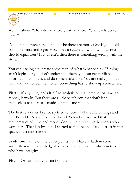THE SOLARI REPORT **Dr. Mark Skidmore CHILL** SEPT 2019

We talk about, "How do we know what we know? What tools do you have?"

I've outlined three here – and maybe there are more. One is good old common sense and logic. How does it square up with: two plus two should equal four? If it doesn't, then there is something wrong with the story.

You can use logic to create some map of what is happening. If things aren't logical or you don't understand them, you can get verifiable information and data, and do some evaluation. You are really good at that, and you follow the money. Something has to show up somewhere.

Fitts: If anything lends itself to analysis of mathematics of time and money, it works. But there are all these subjects that don't lend themselves to the mathematics of time and money.

The first few times I seriously tried to look at all the ET writings and UFO's and ET's; the first time I read 25 books, I realized that mathematics of time and money doesn't help with this. My tools won't work here. That is why, until I started to find people I could trust in that space, I just didn't know.

**Skidmore:** One of the bullet points that I have is faith in some authority – some knowledgeable or competent people who you trust who have integrity.

Fitts: Or faith that you can find them.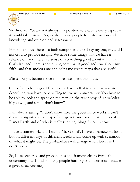

**Skidmore:** We are not always in a position to evaluate every aspect – it would take forever. So, we do rely on people for information and knowledge and opinion and assessment.

For some of us, there is a faith component, too. I say my prayers, and I ask God to provide insight. We have some things that we have a reliance on, and there is a sense of something good about it. I am a Christian, and there is something core that is good and true about my faith, and that anchors me and helps me create maps that are useful.

Fitts: Right, because love is more intelligent than data.

One of the challenges I find people have is that to do what you are describing, you have to be willing to live with uncertainty. You have to be able to look at a space on the map on the taxonomy of knowledge, if you will, and say, "I don't know."

I am always saying, "I don't know how the governance works. I can't draw an organizational map of the governance system at the top of Planet Earth and of who is really running things. I don't know."

I have a framework, and I call it 'Mr. Global'. I have a framework for it, but on different days or different weeks I will come up with scenarios of what it might be. The probabilities will change wildly because I don't know.

So, I use scenarios and probabilities and frameworks to frame the uncertainty, but I find so many people hurdling into nonsense because it gives them certainty.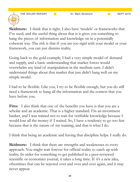THE SOLARI REPORT **Dr. Mark Skidmore** SEPT 2019



**Skidmore:** I think that is right. I also have 'models' or frameworks that I've used, and the useful thing about that is it gives you something to hang the pieces of information and knowledge on in a potentially coherent way. The risk is that if you are too rigid with your model or your framework, you can just dismiss reality.

Going back to the gold example, I had a very simple model of demand and supply, and a basic understanding that market forces would overwhelm any kind of manipulation in the medium turn. I didn't understand things about that market that just didn't hang well on my simple model.

I had to be flexible. Like you, I try to be flexible enough, but you do still need a framework to hang all the information and the context that you have before you.

**Fitts:** I also think that one of the benefits you have is that you are a scholar and an academic. That is a higher standard. I'm an investment banker, and I was trained not to wait for verifiable knowledge because I would lose all the money if I waited. So, I have a tendency to go too fast because that is the nature of my training, and that is what I do.

I think that being an academic and having that discipline helps. I really do.

**Skidmore:** I think that there are strengths and weaknesses to every approach. You might wait forever for official reality to catch up with reality. In order for something to get published in a peer-reviewed scientific or economics journal, it takes a long time. If it's a new idea, oftentimes that can be rejected over and over and over again, and it may never appear.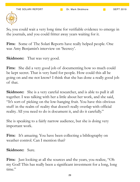

So, you could wait a very long time for verifiable evidence to emerge in the journals, and you could fritter away years waiting for it.

**Fitts:** Some of The Solari Reports have really helped people. One was Amy Benjamin's interview on 'Secrecy'.

**Skidmore:** That was very good.

Fitts: She did a very good job of documenting how so much could be kept secret. That is very hard for people. How could this all be going on and me not know? I think that she has done a really good job of that.

**Skidmore:** She is a very careful researcher, and is able to pull it all together. I was talking with her a little about her work, and she said, "It's sort-of picking on the low-hanging fruit. You have this obvious stuff in the realm of reality that doesn't really overlap with official reality. All you need to do is document it, and do it carefully."

She is speaking to a fairly narrow audience, but she is doing very important work.

Fitts: It's amazing. You have been collecting a bibliography on weather control. Can I mention that?

**Skidmore:** Sure.

Fitts: Just looking at all the sources and the years, you realize, "Oh my God! This has really been a significant investment for a long, long time."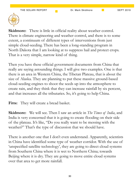

**Skidmore:** There is little in official reality about weather control. There is climate engineering and weather control, and there is to some extent, a continuum of different types of interventions from just simple cloud-seeding. There has been a long-standing program in North Dakota that I am looking at to suppress hail and protect crops. That is a very simple, narrow kind of thing.

Then you have these official government documents from China that really are saying astounding things. I will give two examples. One is that there is an area in Western China, the Tibetan Plateau, that is about the size of Alaska. They are planning to put these massive ground-based cloud-seeding engines to shoot the seeds up into the atmosphere to create rain, and they think that they can increase rainfall by six percent, and that increases all the tributaries. So, it's going to help China.

Fitts: They will create a bread basket.

**Skidmore:** We will see. Then I saw an article in *The Times of India*, and India is very concerned that it is going to create flooding on their side of the plateau. It's like, "Do you really want to be messing with the weather?" That's the type of discussion that we should have.

There is another one that I don't even understand. Apparently, scientists in China have identified some type of weather corridor. With the use of 'unspecified satellite technology', they are going to direct cloud systems from Southern China where it is wet to Northern China; towards Beijing where it is dry. They are going to move entire cloud systems over that area to get more rainfall.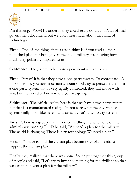

I'm thinking, "Wow! I wonder if they could really do that." It's an official government document, but we don't hear much about that kind of technology.

Fitts: One of the things that is astonishing is if you read all their published plans for both government and military, it's amazing how much they publish compared to us.

**Skidmore:** They seem to be more open about it than we are.

**Fitts:** Part of it is that they have a one-party system. To coordinate 1.3 billion people, you need a certain amount of clarity to persuade them. In a one-party system that is very tightly controlled, they will move with you, but they need to know where you are going.

**Skidmore:** The official reality here is that we have a two-party system, but that is a manufactured reality. I'm not sure what the governance system really looks like here, but it certainly isn't a two-party system.

**Fitts:** There is a group at a university in Ohio, and when one of the admirals was running DOD he said, "We need a plan for the military. The world is changing. There is new technology. We need a plan."

He said, "I have to find the civilian plan because our plan needs to support the civilian plan."

Finally, they realized that there was none. So, he put together this group of people and said, "Let's try to invent something for the civilians so that we can then invent a plan for the military."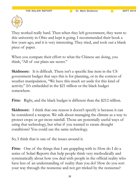

They worked really hard. Then when they left government, they went to this university in Ohio and kept it going. I recommended their book a few years ago, and it is very interesting. They tried, and took out a blank piece of paper.

When you compare their effort to what the Chinese are doing, you think, "All of our plans are secret."

**Skidmore:** It is difficult. There isn't a specific line item in the US government budget that says this is for planning, or in the context of weather manipulation, "We have this much set aside for this kind of activity." It's embedded in the \$21 trillion or the black budget somewhere.

Fitts: Right, and the black budget is different than the \$212 trillion.

**Skidmore:** I think that one reason it doesn't specify is because it can be considered a weapon. We talk about managing the climate as a way to protect crops or get more rainfall. Those are potentially useful ways of using that technology, but what if you wanted to create drought conditions? You could use the same technology.

So, I think that is one of the issues around it.

Fitts: One of the things that I am grappling with is: How do I do a series of Solari Reports that help people think very methodically and systematically about how you deal with people in the official reality who have less of an understanding of reality than you do? How do you sort your way through the nonsense and not get tricked by the nonsense?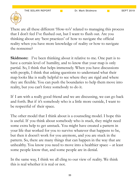

There are all these different 'How-to's' related to managing this process that I don't feel I've flushed out, but I want to flush out. Are you thinking about any 'best practices' of how to navigate the official reality when you have more knowledge of reality or how to navigate the nonsense?

**Skidmore:** I've been thinking about it relative to me. One part is to have a certain level of humility, and to know that your map is only partial. So, I think that helps immensely. When you have discussions with people, I think that asking questions to understand what their map looks like is really helpful to see where they are rigid and where they are flexible. You can push the boundaries to help them move into reality, but you can't force somebody to do it.

If I am with a really good friend and we are discussing, we can go back and forth. But if it's somebody who is a little more outside, I want to be respectful of their space.

The other model that I think about is a counseling model. I hope this is useful. If you think about somebody who is stuck, they might need some extra help to get unstuck. You might have created a pattern in your life that worked for you to survive whatever that happens to be, but then it doesn't work for you anymore, and you are stuck in the pattern. So, there are many things that can happen in the way that are unhealthy. You know you need to move into a healthier space – at least some people know that, and some people are in denial.

In the same way, I think we all cling to our view of reality. We think this is real whether it is real or not.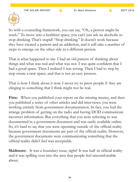

So with a counseling framework, you can say, "Oh, a person might be stuck." To move into a healthier space, you can't just ask an alcoholic to stop drinking. That's stupid! "Stop drinking." It doesn't work because they have created a pattern and an addiction, and it will take a number of steps to emerge on the other side as a different person.

That is what happened to me. I had an old pattern of thinking about things and what was real and what was not. I was quite confident that I had a good space. Then I realized I was wrong. Then I had to step by step create a new space, and that is not an easy process.

That is how I think about it now. I never try to press people if they are clinging to something that I think might not be real.

Fitts: When you published your report on the missing money, and then you published a series of other articles and did interviews, you were working entirely from government documentation. In fact, you had the strange problem of getting on the radio and having DOD communicate incorrect information. But everything that you were referring to was documented in a government document and was easily available online. So, it's hard to say that you were operating outside of the official reality because government documents are part of the official reality. However, the government documents were communicating something that the official reality didn't feel was acceptable.

**Skidmore:** It was a boundary issue, right? It was half in official reality and it was spilling over into the area that people feel uncomfortable about.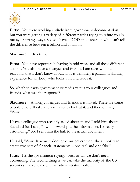

Fitts: You were working entirely from government documentation, but you were getting a variety of different parties trying to refute you in messy or strange ways. So, you have a DOD spokesperson who can't tell the difference between a billion and a million.

**Skidmore:** Or a trillion!

Fitts: You have reporters behaving in odd ways, and all these different actions. You also have colleagues and friends, I am sure, who had reactions that I don't know about. This is definitely a paradigm shifting experience for anybody who looks at it and reads it.

So, whether it was government or media versus your colleagues and friends, what was the response?

**Skidmore:** Among colleagues and friends it is mixed. There are some people who will take a few minutes to look at it, and they will say, "Wow!"

I have a colleague who recently asked about it, and I told him about Standard 56. I said, "I will forward you the information. It's really astounding." So, I sent him the link to the actual document.

He said, "Wow! It actually does give our government the authority to create two sets of financial statements – one real and one fake."

Fitts: It's the government saying, "First of all, we don't need accounting. The second thing is we can take the majority of the US securities market dark with an administrative policy."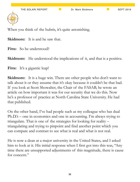When you think of the hubris, it's quite astonishing.

**Skidmore:** It is and he saw that.

Fitts: So he understood?

**Skidmore:** He understood the implications of it, and that is a positive.

Fitts: It's a gigantic leap!

**Skidmore:** It is a huge win. There are other people who don't want to talk about it or they assume that it's okay because it couldn't be that bad. If you look at Scott Showalter, the Chair of the FASAB, he wrote an article on how important it was for our security that we do this. Now he's a professor of practice at North Carolina State University. He had that published.

On the other hand, I've had people such as my colleague who has dual Ph.D.'s – one in economics and one in accounting. I'm always trying to triangulate. That is one of the strategies for looking for reality – triangulating and trying to pinpoint and find another point which you can compare and contrast to see what is real and what is not real.

He is now a dean at a major university in the United States, and I asked him to look at it. His initial response when I first got into this was, "Any time there are unsupported adjustments of this magnitude, there is cause for concern."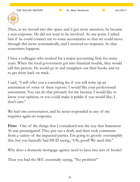

Then, as we moved into this space and it got more attention, he became a non-response. He did not want to be involved. At one point, I asked him if he could connect me to some accountants so that we could move through this more systematically, and I received no response. So that sometimes happens.

I have a colleague who worked for a major accounting firm for many years. When the local government got into financial trouble, they would call this person. He would go in and straighten out their books and try to get them back on track.

I said, "I will offer you a consulting fee if you will write up an assessment of some of these reports. I would like your professional assessment. You can do that privately for me because I would like to know your opinion, or you could make it public if you would like; I don't care."

We had one conversation, and he never responded to any of my inquiries again-no response.

Fitts: One of the things that I considered was the way that Statement 56 was promulgated. They put out a draft, and then took comments from a variety of the impacted parties. I'm going to grossly oversimplify this, but you basically had HUD saying, "Oh, good! We need this."

Why does a domestic mortgage agency need to have two sets of books?

Then you had the SEC essentially saying, "No problem!"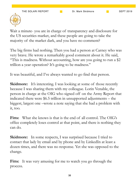

Wait a minute- you are in charge of transparency and disclosure for the US securities market, and these people are going to take the majority of the market dark, and you have no comment?

The big firms had nothing. Then you had a person at Carney who was very brave. He wrote a remarkably good comment about it. He said, "This is madness. Without accounting, how are you going to run a \$2 trillion a year operation? It's going to be madness."

It was beautiful, and I've always wanted to go find that person.

**Skidmore:** It's interesting. I was looking at some of those recently because I was sharing them with my colleague. Lorin Venable, the person in charge at the OIG who signed off on the Army Report that indicated there were \$6.5 trillion in unsupported adjustments – the biggest, largest one –wrote a note saying that she had a problem with it, too.

**Fitts:** What she knows is that is the end of all control. The OIG's office completely loses control at that point, and there is nothing they can do.

**Skidmore:** In some respects, I was surprised because I tried to contact that lady by email and by phone and by LinkedIn at least a dozen times, and there was no response. Yet she was opposed to the change.

**Fitts:** It was very amusing for me to watch you go through the process.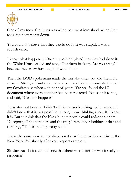

One of my most fun times was when you went into shock when they took the documents down.

You couldn't believe that they would do it. It was stupid; it was a foolish error.

I know what happened. Once it was highlighted that they had done it, the White House called and said, "Put them back up. Are you crazy?" because they knew how stupid it would look.

Then the DOD spokesman made the mistake when you did the radio show in Michigan, and there were a couple of other moments. One of my favorites was when a student of yours, Tanner, found the IG document where every number had been redacted. You sent it to me, and said, "Can this happen?"

I was stunned because I didn't think that such a thing could happen. I didn't know that it was possible. Though now thinking about it, I know it is. But to think that the black budget people could redact an entire IG report, all the numbers and the title; I remember looking at that and thinking, "This is getting pretty wild!"

It was the same as when we discovered that there had been a fire at the New York Fed shortly after your report came out.

**Skidmore:** Is it a coincidence that there was a fire? Or was it really in response?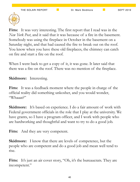

**Fitts:** It was very interesting. The first report that I read was in the *New York Post*, and it said that it was because of a fire in the basement. Somebody was using the fireplace in October in the basement on a Saturday night, and that had caused the fire to break out on the roof. You know when you have these old fireplaces, the chimney can catch on fire and start a fire on the roof.

When I went back to get a copy of it, it was gone. It later said that there was a fire on the roof. There was no mention of the fireplace.

**Skidmore:** Interesting.

**Fitts:** It was a feedback moment where the people in charge of the official reality did something unkosher, and you would wonder, "Whaaat?"

**Skidmore:** It's based on experience. I do a fair amount of work with Federal government officials in the role that I play at the university. We have grants, so I have a program officer, and I work with people who are hardworking and thoughtful and want to try to do a good job.

Fitts: And they are very competent.

**Skidmore:** I know that there are levels of competence, but the people who are competent and do a good job and mean well tend to rise.

Fitts: It's just an air cover story, "Oh, it's the bureaucrats. They are incompetent."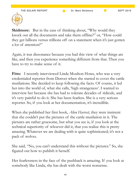

**Skidmore:** But in the case of thinking about, "Why would they knock out all the documents and take them offline?" or, "How could they get billions versus trillions off on a statement when it's just gotten a lot of attention?"

Again, it was dissonance because you had this view of what things are like, and then you experience something different from that. Then you have to try to make sense of it.

Fitts: I recently interviewed Linda Moulton Howe, who was a very credentialed reporter from Denver when she started to cover the cattle mutilations. She decided to keep following the facts. Of course, it led her into the world of, what she calls, 'high strangeness'. I wanted to interview her because she has had to tolerate decades of ridicule, and it's very painful to do it. She has been fearless. She is a very serious reporter. So, if you look at her documentation, it's incredible.

When she published her first book, *Alien Harvest*, they were insistent that she couldn't put the pictures of the cattle mutilation in it. The pictures are rather gruesome, but what you see is, if you look at the technical superiority of whoever did it, that you realize this is pretty amazing. Whatever we are dealing with is quite sophisticated; it's not a pack of wolves.

She said, "No, you can't understand this without the pictures." So, she figured out how to publish it herself.

Her fearlessness in the face of the pushback is amazing. If you look at somebody like Linda, she has dealt with the worst nonsense.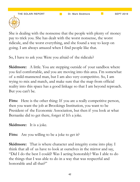

She is dealing with the nonsense that the people with plenty of money pay to trick you. She has dealt with the worst nonsense, the worst ridicule, and the worst everything, and she found a way to keep on going. I am always amazed when I find people like that.

So, I have to ask you: Were you afraid of the ridicule?

**Skidmore:** A little. You are stepping outside of your sandbox where you feel comfortable, and you are moving into this area. I'm somewhat of a mild-mannered man, but I am also very competitive. So, I am trying to mix and match, and make sure that the map from official reality into this space has a good linkage so that I am beyond reproach. But you can't be.

Fitts: Here is the other thing: If you are a really competitive person, then you want the job at Brookings Institution, you want to be President of the Economic Association, but then if you look at what Bernanke did to get there, forget it! It's a joke.

**Skidmore:** It is a joke.

Fitts: Are you willing to be a joke to get it?

**Skidmore:** That is where character and integrity come into play. I think that all of us have to look at ourselves in the mirror and say, "Did I do the best I could? Was I acting honorably? Was I able to do the things that I was able to do in a way that was respectful and honorable and all that?"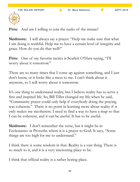

Fitts: And am I willing to join the ranks of the insane?

**Skidmore:** I will always say a prayer. "Help me make sure that what I am doing is truthful. Help me to have a certain level of integrity and grace. How do you do that well?"

Fitts: One of my favorite tactics is Scarlett O'Hara saying, "I'll worry about it tomorrow."

There are so many times that I come up against something, and I just don't know, or it looks like a mess to me. I can't think about it anymore, so I will worry about it tomorrow.

It's one thing to understand reality, but I believe reality has to serve a free and inspired life. So, Bill Tiller changed my life when he said, "Community prayer could only help if everybody doing the praying was coherent." There is no point in learning more about reality if it only makes me incoherent. I need to find a way to have a map so that I can be coherent, and it can be useful. It has to be useful.

**Skidmore:** I don't remember the verse, but it might be in Ecclesiastes or Proverbs where it is a prayer to God. It says, "Some things are too high for me to understand."

I think there is some wisdom in that. Reality is a vast thing. There is so much to it, and it is a very interesting place to be.

I think that official reality is a rather boring place.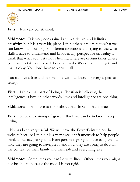

Fitts: It is very constrained.

**Skidmore:** It is very constrained and restrictive, and it limits creativity, but it is a very big place. I think there are limits to what we can know. I am pushing in different directions and trying to use what skills I have to understand and broaden my perspective on reality. I think that what you just said is healthy. There are certain times where you have to take a step back because maybe it's not coherent yet, and that is okay. You don't have to know it all.

You can live a free and inspired life without knowing every aspect of reality.

**Fitts:** I think that part of being a Christian is believing that intelligence is love; in other words, love and intelligence are one thing.

**Skidmore:** I will have to think about that. In God that is true.

Fitts: Since the coming of grace, I think we can be in God. I keep trying.

This has been very useful. We will have the PowerPoint up on the website because I think it is a very excellent framework to help people think about navigating this. Each person is going to have to figure out how they are going to navigate it, and how they are going to do it in the context of their family and their job and everything else.

**Skidmore:** Sometimes you can be very direct. Other times you might not be able to because the model is too rigid.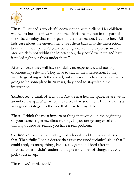

Fitts: I just had a wonderful conversation with a client. Her children wanted to hurdle off working in the official reality, but in the part of the official reality that is not part of the intersection. I said to her, "All kids care about the environment. Get them back into the intersection because if they spend 20 years building a career and expertise in an area which is not within the intersection, they could wake up and have it pulled right out from under them."

After 20 years they will have no skills, no experience, and nothing economically relevant. They have to stay in the intersection. If they want to go along with the crowd, but they want to have a career that is going to be someplace in 20 years, they need to stay within the intersection.

**Skidmore:** I think of it as this: Are we in a healthy space, or are we in an unhealthy space? That requires a bit of wisdom. but I think that is a very good strategy. It's the one that I use for my children.

**Fitts:** I think the most important thing that you do in the beginning of your career is get excellent training. If you are getting excellent training outside of reality, you have a real problem.

**Skidmore:** You could really get blindsided, and I think we all risk that. Thankfully, I had a degree that gave me good technical skills that I could apply to many things, but I really got blindsided after the financial crisis. I didn't understand a great number of things, but you pick yourself up.

**Fitts:** And 'turtle forth'.